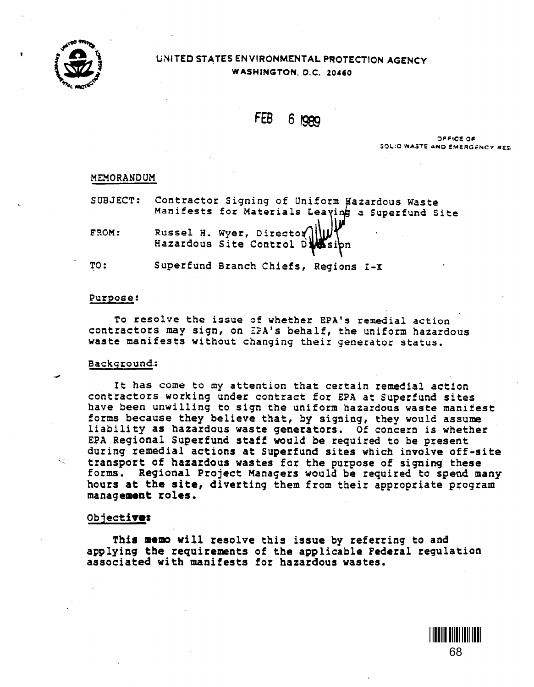

# UNITED STATES ENVIRONMENTAL PROTECTION AGENCY WASHINGTON, D.C. 20460

FEB 6 1989

OFFICE OF SOLIO WASTE AND EMERGENCY RES.

> <u>\* 688 - 1911 - 1911 - 1911 - 1911 - 1911 - 1911 - 1911 - 1911 - 1911 - 1911 - 1911 - 1911 - 1911 - 1911 - 19</u> 68

### MEMORANDUM

|       | SUBJECT: Contractor Signing of Uniform Wazardous Waste<br>Manifests for Materials Leaving a Superfund Site |
|-------|------------------------------------------------------------------------------------------------------------|
| FROM: | Russel H. Wyer, Director (11)                                                                              |
| TO:   | Superfund Branch Chiefs, Regions I-X                                                                       |

### Purpose:

To resolve the issue of whether EPA's remedial action contractors may sign, on ZPA's behalf, the uniform hazardous waste manifests without changing their generator status.

## Background.:

 $\overline{a}$ 

It has come to my attention that certain remedial action contractors working under contract for EPA at Superfund sites have been unwilling to sign the uniform hazardous waste manifest forms because they believe that, by signing, they would assume liability as hazardous waste generators. Of concern is whether EPA Regional Superfund staff would be required to be present<br>during remedial actions at Superfund sites which involve off-site<br>transport of hazardous wastes for the purpose of signing these forms. Regional Project Managers would be required to spend many hours at the site, diverting them from their appropriate program management roles.

# Objectivez

This memo will resolve this issue by referring to and applying the requirements of the applicable Federal regulation associated with manifests for hazardous wastes.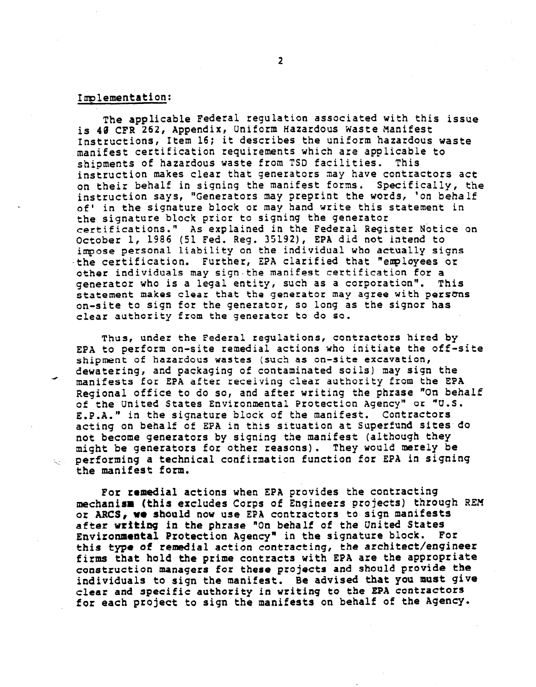# Implementation:

The applicable Federal regulation associated with this issue is 40 CFR 262, Appendix, Uniform Hazardous Waste Manifest Instructions, Item 16; it describes the uniform hazardous waste manifest certification requirements which are applicable to shipments of hazardous waste from TSD facilities. This instruction makes clear that generators may have contractors act on their behalf in signing the manifest forms. Specifically, the instruction says, "Generators may preprint the words, 'on behalf of' in the signature block or may hand write this statement in the signature block prior to signing the generator certifications." As explained in the Federal Register Notice on October 1, 1986 (51 Fed. Reg. 35192), EPA did not intend to impose personal liability on the individual who actually signs -the certification. Further, EPA clarified that "employees or other individuals may sign.the manifest certification for a generator who is a legal entity, such as a corporation". This statement makes clear that the generator may agree with persons on-site to sign for the generator, so long as the signor has clear authority from the generator to do so.

Thus, under the Federal regulations, contractors hired by EPA to perform on-site remedial actions who initiate the off-site shipment of hazardous wastes (such as on-site excavation, <sup>A</sup>dewatering, and packaging of contaminated soils) may sign the manifests for EPA after receiving clear authority from the EPA Regional office to do so, and after writing the phrase "On behalf of the United States Environmental Protection Agency" or "U.S. E.P.A." in the signature block of the manifest. Contractors acting on behalf of EPA in this situation at Superfund sites do not become generators by signing the manifest (although they might be generators for other reasons). They would merely be -x.: performing a technical confirmation function for EPA in signing perrorming a cecn<br>.the manifest form

For remedial actions when EPA provides the contracting mechanism (this excludes Corps of Engineers projects) through REM mechanism (chis excludes corps or engineers projects) thro or ARCS, we should now use EPA contractors to sign manifests after writing in the phrase "On behalf of the United States<br>Environmental Protection Agency" in the signature block. For Environmental Protection Agency" in the signature block. this type of remedial action contracting, the architect/engineer firms that hold the prime contracts with EPA are the appropriate construction managers for these projects and should provide the individuals to sign the manifest. Be advised that you must give clear and specific authority in writing to the EPA contractors<br>for each project to sign the manifests on behalf of the Agency.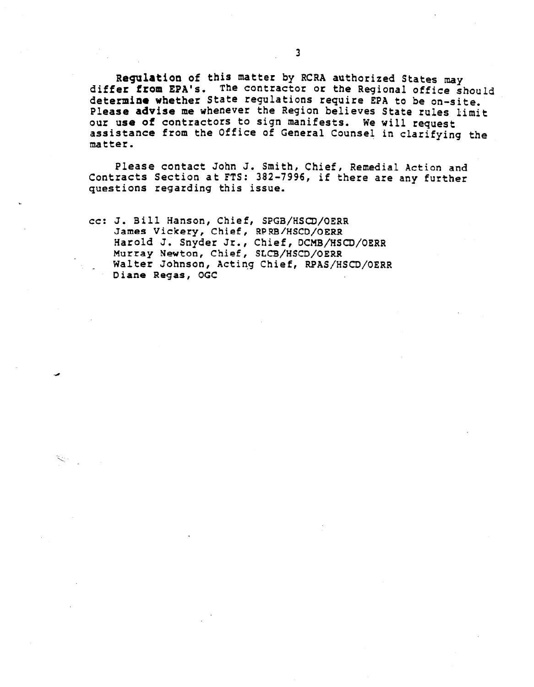Regulation of this matter by RCRA authorized States may differ from EPA'S. The Contractor or the Regional office should determine whether State regulations require EPA to be on-site. Please advise me whenever the Region believes State rules limit<br>our use of contractors to sign manifests. We will request our use of contractors of General Counsel in clarifying the matter.

Please contact John J. Smith, Chief, Remedial Action and Contracts Section at FTS: 382-7996, if there are any further questions regarding this issue.

CC: J. Bill Hanson, Chief, SPGB/HSCD/OERR James Vickery, Chief, RPRB/HSCD/OERR Harold J. Snyder Jr., Chief, DCMB/HSCD/OERR Murray Newton, Chief, SLCB/HSCD/OERR Walter Johnson, Acting Chief, RPAS/HSCD/OERR Diane Regas, OGC

 $\sum_{i=1}^n \epsilon_i$